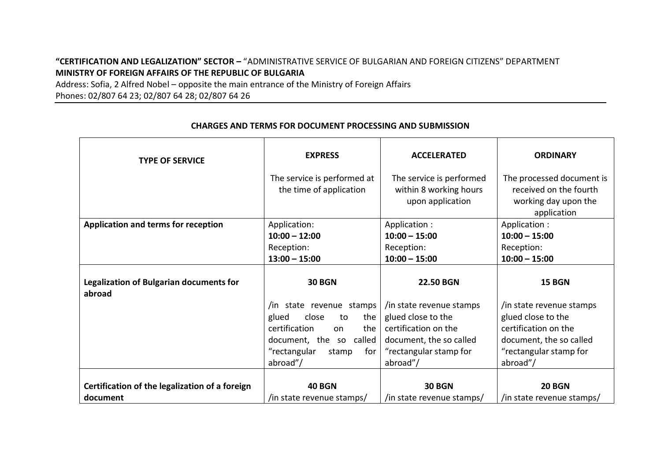## **"CERTIFICATION AND LEGALIZATION" SECTOR –** "ADMINISTRATIVE SERVICE OF BULGARIAN AND FOREIGN CITIZENS" DEPARTMENT **MINISTRY OF FOREIGN AFFAIRS OF THE REPUBLIC OF BULGARIA**

Address: Sofia, 2 Alfred Nobel – opposite the main entrance of the Ministry of Foreign Affairs Phones: 02/807 64 23; 02/807 64 28; 02/807 64 26

| <b>TYPE OF SERVICE</b>                                   | <b>EXPRESS</b><br>The service is performed at | <b>ACCELERATED</b><br>The service is performed | <b>ORDINARY</b><br>The processed document is                  |
|----------------------------------------------------------|-----------------------------------------------|------------------------------------------------|---------------------------------------------------------------|
|                                                          | the time of application                       | within 8 working hours<br>upon application     | received on the fourth<br>working day upon the<br>application |
| Application and terms for reception                      | Application:                                  | Application :                                  | Application :                                                 |
|                                                          | $10:00 - 12:00$                               | $10:00 - 15:00$                                | $10:00 - 15:00$                                               |
|                                                          | Reception:                                    | Reception:                                     | Reception:                                                    |
|                                                          | $13:00 - 15:00$                               | $10:00 - 15:00$                                | $10:00 - 15:00$                                               |
| <b>Legalization of Bulgarian documents for</b><br>abroad | <b>30 BGN</b>                                 | <b>22.50 BGN</b>                               | <b>15 BGN</b>                                                 |
|                                                          | /in state revenue stamps                      | /in state revenue stamps                       | in state revenue stamps                                       |
|                                                          | close<br>glued<br>the<br>to                   | glued close to the                             | glued close to the                                            |
|                                                          | certification<br>the<br>on                    | certification on the                           | certification on the                                          |
|                                                          | document, the so called                       | document, the so called                        | document, the so called                                       |
|                                                          | "rectangular<br>for<br>stamp                  | "rectangular stamp for                         | "rectangular stamp for                                        |
|                                                          | abroad"/                                      | abroad"/                                       | abroad"/                                                      |
|                                                          |                                               |                                                |                                                               |
| Certification of the legalization of a foreign           | <b>40 BGN</b>                                 | <b>30 BGN</b>                                  | <b>20 BGN</b>                                                 |
| document                                                 | /in state revenue stamps/                     | /in state revenue stamps/                      | /in state revenue stamps/                                     |

## **CHARGES AND TERMS FOR DOCUMENT PROCESSING AND SUBMISSION**